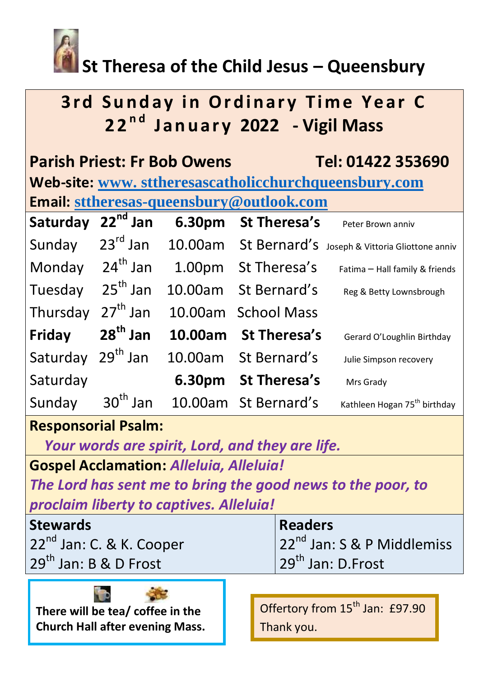

# **St Theresa of the Child Jesus – Queensbury**

# **3rd Sunday in Ordinary Time Year C**<br>22<sup>nd</sup> January 2022 - Vigil Mass **2 2 n d J a n u a r y 2022 - Vigil Mass**

| <b>Parish Priest: Fr Bob Owens</b><br>Tel: 01422 353690<br>Web-site: www. sttheresascatholicchurchqueensbury.com |                      |         |                      |                                          |  |
|------------------------------------------------------------------------------------------------------------------|----------------------|---------|----------------------|------------------------------------------|--|
| <b>Email: sttheresas-queensbury@outlook.com</b>                                                                  |                      |         |                      |                                          |  |
| Saturday 22 <sup>nd</sup> Jan                                                                                    |                      |         | 6.30pm St Theresa's  | Peter Brown anniv                        |  |
| Sunday                                                                                                           | $23^{\text{rd}}$ Jan |         | 10.00am St Bernard's | Joseph & Vittoria Gliottone anniv        |  |
| Monday                                                                                                           | 24 <sup>th</sup> Jan |         | 1.00pm St Theresa's  | Fatima - Hall family & friends           |  |
| Tuesday                                                                                                          | $25th$ Jan           | 10.00am | St Bernard's         | Reg & Betty Lownsbrough                  |  |
| Thursday                                                                                                         | $27th$ Jan           |         | 10.00am School Mass  |                                          |  |
| Friday                                                                                                           | $28^{th}$ Jan        | 10.00am | <b>St Theresa's</b>  | Gerard O'Loughlin Birthday               |  |
| Saturday                                                                                                         | $29th$ Jan           |         | 10.00am St Bernard's | Julie Simpson recovery                   |  |
| Saturday                                                                                                         |                      |         | 6.30pm St Theresa's  | Mrs Grady                                |  |
| Sunday                                                                                                           | $30th$ Jan           |         | 10.00am St Bernard's | Kathleen Hogan 75 <sup>th</sup> birthday |  |

## **Responsorial Psalm:**

*Your words are spirit, Lord, and they are life.*

**Gospel Acclamation:** *Alleluia, Alleluia!*

*The Lord has sent me to bring the good news to the poor, to proclaim liberty to captives. Alleluia!*

| <b>Stewards</b>                      | <b>Readers</b>                         |
|--------------------------------------|----------------------------------------|
| 22 <sup>nd</sup> Jan: C. & K. Cooper | 22 <sup>nd</sup> Jan: S & P Middlemiss |
| 29 <sup>th</sup> Jan: B & D Frost    | $29th$ Jan: D.Frost                    |
|                                      |                                        |

**There will be tea/ coffee in the Church Hall after evening Mass.** 

Offertory from 15<sup>th</sup> Jan: £97.90 Thank you.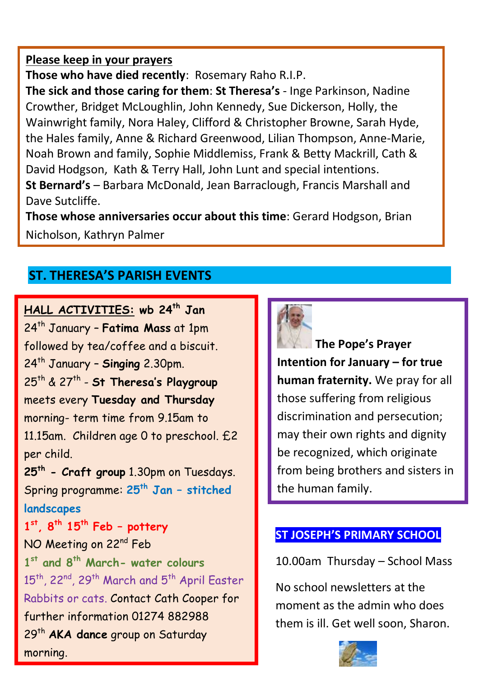#### **Please keep in your prayers**

**Those who have died recently**: Rosemary Raho R.I.P.

**The sick and those caring for them**: **St Theresa's** - Inge Parkinson, Nadine Crowther, Bridget McLoughlin, John Kennedy, Sue Dickerson, Holly, the Wainwright family, Nora Haley, Clifford & Christopher Browne, Sarah Hyde, the Hales family, Anne & Richard Greenwood, Lilian Thompson, Anne-Marie, Noah Brown and family, Sophie Middlemiss, Frank & Betty Mackrill, Cath & David Hodgson, Kath & Terry Hall, John Lunt and special intentions. **St Bernard's** – Barbara McDonald, Jean Barraclough, Francis Marshall and Dave Sutcliffe.

**Those whose anniversaries occur about this time**: Gerard Hodgson, Brian Nicholson, Kathryn Palmer

### **ST. THERESA'S PARISH EVENTS**

**HALL ACTIVITIES: wb 24th Jan**  24th January – **Fatima Mass** at 1pm followed by tea/coffee and a biscuit. 24th January – **Singing** 2.30pm. 25th & 27th - **St Theresa's Playgroup** meets every **Tuesday and Thursday** morning- term time from 9.15am to 11.15am. Children age 0 to preschool. £2 per child. **25th - Craft group** 1.30pm on Tuesdays. Spring programme: **25th Jan – stitched landscapes 1 st, 8th 15th Feb – pottery**  NO Meeting on 22<sup>nd</sup> Feb **1 st and 8th March- water colours** 15<sup>th</sup>, 22<sup>nd</sup>, 29<sup>th</sup> March and 5<sup>th</sup> April Easter Rabbits or cats. Contact Cath Cooper for further information 01274 882988 29th **AKA dance** group on Saturday morning.



**The Pope's Prayer Intention for January – for true human fraternity.** We pray for all those suffering from religious discrimination and persecution; may their own rights and dignity be recognized, which originate from being brothers and sisters in the human family.

#### **ST JOSEPH'S PRIMARY SCHOOL**

10.00am Thursday – School Mass

No school newsletters at the moment as the admin who does them is ill. Get well soon, Sharon.

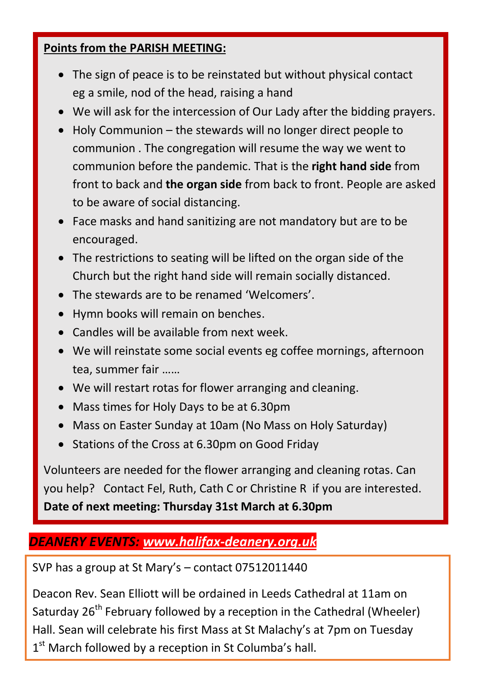#### **Points from the PARISH MEETING:**

- The sign of peace is to be reinstated but without physical contact eg a smile, nod of the head, raising a hand
- We will ask for the intercession of Our Lady after the bidding prayers.
- Holy Communion the stewards will no longer direct people to communion . The congregation will resume the way we went to communion before the pandemic. That is the **right hand side** from front to back and **the organ side** from back to front. People are asked to be aware of social distancing.
- Face masks and hand sanitizing are not mandatory but are to be encouraged.
- The restrictions to seating will be lifted on the organ side of the Church but the right hand side will remain socially distanced.
- The stewards are to be renamed 'Welcomers'.
- Hymn books will remain on benches.
- Candles will be available from next week.
- We will reinstate some social events eg coffee mornings, afternoon tea, summer fair ……
- We will restart rotas for flower arranging and cleaning.
- Mass times for Holy Days to be at 6.30pm
- Mass on Easter Sunday at 10am (No Mass on Holy Saturday)
- Stations of the Cross at 6.30pm on Good Friday

Volunteers are needed for the flower arranging and cleaning rotas. Can you help? Contact Fel, Ruth, Cath C or Christine R if you are interested. **Date of next meeting: Thursday 31st March at 6.30pm**

## *DEANERY EVENTS: [www.halifax-deanery.org.uk](http://www.halifax-deanery.org.uk/)*

SVP has a group at St Mary's – contact 07512011440

Deacon Rev. Sean Elliott will be ordained in Leeds Cathedral at 11am on Saturday  $26<sup>th</sup>$  February followed by a reception in the Cathedral (Wheeler) Hall. Sean will celebrate his first Mass at St Malachy's at 7pm on Tuesday 1<sup>st</sup> March followed by a reception in St Columba's hall.